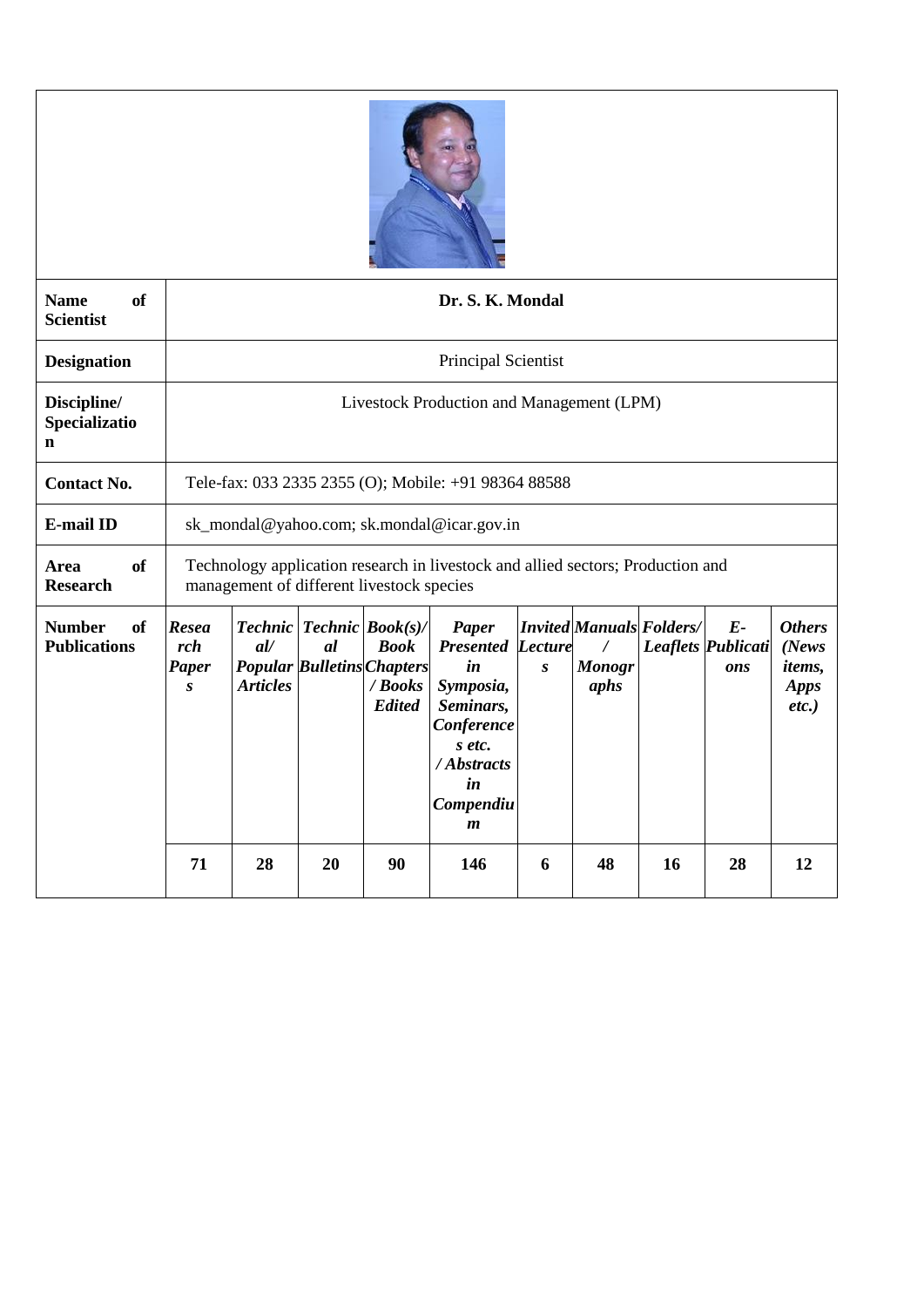

| <sub>of</sub><br><b>Name</b><br><b>Scientist</b> | Dr. S. K. Mondal                                                                                                             |                                            |                                                                         |                                         |                                                                                                                                                 |                  |                                                          |    |                                          |                                                                     |
|--------------------------------------------------|------------------------------------------------------------------------------------------------------------------------------|--------------------------------------------|-------------------------------------------------------------------------|-----------------------------------------|-------------------------------------------------------------------------------------------------------------------------------------------------|------------------|----------------------------------------------------------|----|------------------------------------------|---------------------------------------------------------------------|
| <b>Designation</b>                               | <b>Principal Scientist</b>                                                                                                   |                                            |                                                                         |                                         |                                                                                                                                                 |                  |                                                          |    |                                          |                                                                     |
| Discipline/<br>Specializatio<br>n                | Livestock Production and Management (LPM)                                                                                    |                                            |                                                                         |                                         |                                                                                                                                                 |                  |                                                          |    |                                          |                                                                     |
| <b>Contact No.</b>                               | Tele-fax: 033 2335 2355 (O); Mobile: +91 98364 88588                                                                         |                                            |                                                                         |                                         |                                                                                                                                                 |                  |                                                          |    |                                          |                                                                     |
| <b>E-mail ID</b>                                 |                                                                                                                              | sk_mondal@yahoo.com; sk.mondal@icar.gov.in |                                                                         |                                         |                                                                                                                                                 |                  |                                                          |    |                                          |                                                                     |
| <sub>of</sub><br>Area<br><b>Research</b>         | Technology application research in livestock and allied sectors; Production and<br>management of different livestock species |                                            |                                                                         |                                         |                                                                                                                                                 |                  |                                                          |    |                                          |                                                                     |
| <b>Number</b><br>of<br><b>Publications</b>       | <b>Resea</b><br>rch<br>Paper<br>$\boldsymbol{S}$                                                                             | all<br><b>Articles</b>                     | Technic   Technic   Book(s)/<br>al<br><b>Popular Bulletins Chapters</b> | <b>Book</b><br>/ Books<br><b>Edited</b> | Paper<br><b>Presented Lecture</b><br>in<br>Symposia,<br>Seminars,<br>Conference<br>s etc.<br>/ Abstracts<br>in<br>Compendiu<br>$\boldsymbol{m}$ | $\boldsymbol{S}$ | <b>Invited Manuals Folders/</b><br><b>Monogr</b><br>aphs |    | $E-$<br><b>Leaflets Publicati</b><br>ons | <b>Others</b><br>(News)<br><i>items,</i><br><b>Apps</b><br>$etc.$ ) |
|                                                  | 71                                                                                                                           | 28                                         | 20                                                                      | 90                                      | 146                                                                                                                                             | 6                | 48                                                       | 16 | 28                                       | 12                                                                  |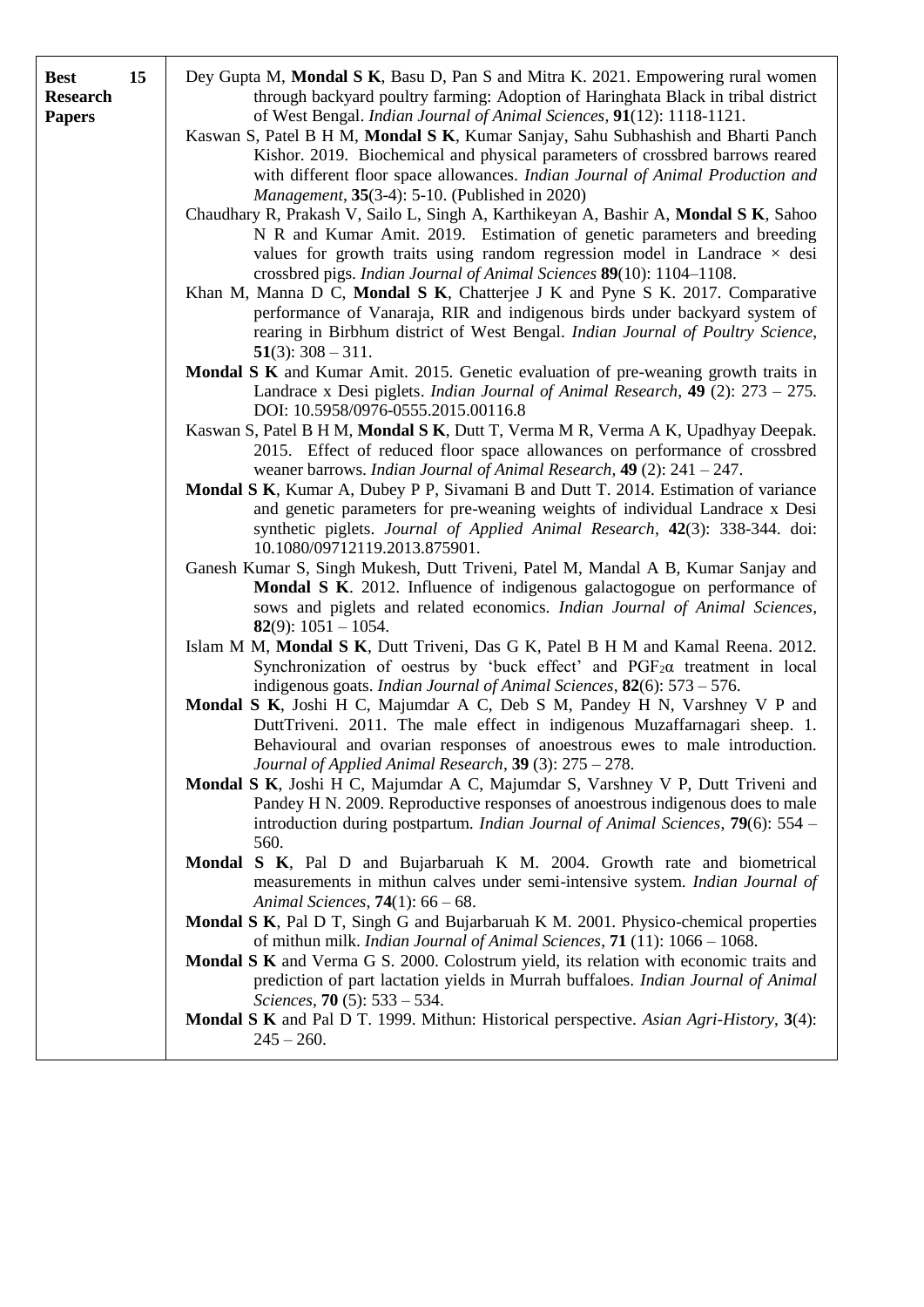| <b>Best</b><br><b>Research</b><br><b>Papers</b> | 15 | Dey Gupta M, Mondal S K, Basu D, Pan S and Mitra K. 2021. Empowering rural women<br>through backyard poultry farming: Adoption of Haringhata Black in tribal district<br>of West Bengal. Indian Journal of Animal Sciences, 91(12): 1118-1121.<br>Kaswan S, Patel B H M, Mondal S K, Kumar Sanjay, Sahu Subhashish and Bharti Panch<br>Kishor. 2019. Biochemical and physical parameters of crossbred barrows reared<br>with different floor space allowances. Indian Journal of Animal Production and<br><i>Management</i> , 35(3-4): 5-10. (Published in 2020)<br>Chaudhary R, Prakash V, Sailo L, Singh A, Karthikeyan A, Bashir A, Mondal S K, Sahoo<br>N R and Kumar Amit. 2019. Estimation of genetic parameters and breeding<br>values for growth traits using random regression model in Landrace $\times$ desi<br>crossbred pigs. Indian Journal of Animal Sciences 89(10): 1104-1108.<br>Khan M, Manna D C, Mondal S K, Chatterjee J K and Pyne S K. 2017. Comparative<br>performance of Vanaraja, RIR and indigenous birds under backyard system of<br>rearing in Birbhum district of West Bengal. Indian Journal of Poultry Science,<br>$51(3)$ : 308 – 311.<br><b>Mondal S K</b> and Kumar Amit. 2015. Genetic evaluation of pre-weaning growth traits in<br>Landrace x Desi piglets. <i>Indian Journal of Animal Research</i> , <b>49</b> (2): $273 - 275$ .<br>DOI: 10.5958/0976-0555.2015.00116.8<br>Kaswan S, Patel B H M, Mondal S K, Dutt T, Verma M R, Verma A K, Upadhyay Deepak.<br>2015. Effect of reduced floor space allowances on performance of crossbred<br>weaner barrows. Indian Journal of Animal Research, $49$ (2): 241 – 247.<br>Mondal S K, Kumar A, Dubey P P, Sivamani B and Dutt T. 2014. Estimation of variance<br>and genetic parameters for pre-weaning weights of individual Landrace x Desi<br>synthetic piglets. Journal of Applied Animal Research, 42(3): 338-344. doi:<br>10.1080/09712119.2013.875901.<br>Ganesh Kumar S, Singh Mukesh, Dutt Triveni, Patel M, Mandal A B, Kumar Sanjay and<br>Mondal S K. 2012. Influence of indigenous galactogogue on performance of<br>sows and piglets and related economics. Indian Journal of Animal Sciences,<br><b>82</b> (9): $1051 - 1054$ .<br>Islam M M, Mondal S K, Dutt Triveni, Das G K, Patel B H M and Kamal Reena. 2012.<br>Synchronization of oestrus by 'buck effect' and PGF <sub>2</sub> $\alpha$ treatment in local<br>indigenous goats. Indian Journal of Animal Sciences, $82(6)$ : 573 – 576.<br>Mondal S K, Joshi H C, Majumdar A C, Deb S M, Pandey H N, Varshney V P and<br>DuttTriveni. 2011. The male effect in indigenous Muzaffarnagari sheep. 1.<br>Behavioural and ovarian responses of anoestrous ewes to male introduction.<br>Journal of Applied Animal Research, 39 (3): 275 - 278.<br>Mondal S K, Joshi H C, Majumdar A C, Majumdar S, Varshney V P, Dutt Triveni and<br>Pandey H N. 2009. Reproductive responses of anoestrous indigenous does to male<br>introduction during postpartum. Indian Journal of Animal Sciences, 79(6): 554 -<br>560.<br>Mondal S K, Pal D and Bujarbaruah K M. 2004. Growth rate and biometrical<br>measurements in mithun calves under semi-intensive system. Indian Journal of<br>Animal Sciences, $74(1)$ : 66 – 68.<br>Mondal S K, Pal D T, Singh G and Bujarbaruah K M. 2001. Physico-chemical properties<br>of mithun milk. Indian Journal of Animal Sciences, 71 (11): 1066 - 1068.<br>Mondal S K and Verma G S. 2000. Colostrum yield, its relation with economic traits and |
|-------------------------------------------------|----|---------------------------------------------------------------------------------------------------------------------------------------------------------------------------------------------------------------------------------------------------------------------------------------------------------------------------------------------------------------------------------------------------------------------------------------------------------------------------------------------------------------------------------------------------------------------------------------------------------------------------------------------------------------------------------------------------------------------------------------------------------------------------------------------------------------------------------------------------------------------------------------------------------------------------------------------------------------------------------------------------------------------------------------------------------------------------------------------------------------------------------------------------------------------------------------------------------------------------------------------------------------------------------------------------------------------------------------------------------------------------------------------------------------------------------------------------------------------------------------------------------------------------------------------------------------------------------------------------------------------------------------------------------------------------------------------------------------------------------------------------------------------------------------------------------------------------------------------------------------------------------------------------------------------------------------------------------------------------------------------------------------------------------------------------------------------------------------------------------------------------------------------------------------------------------------------------------------------------------------------------------------------------------------------------------------------------------------------------------------------------------------------------------------------------------------------------------------------------------------------------------------------------------------------------------------------------------------------------------------------------------------------------------------------------------------------------------------------------------------------------------------------------------------------------------------------------------------------------------------------------------------------------------------------------------------------------------------------------------------------------------------------------------------------------------------------------------------------------------------------------------------------------------------------------------------------------------------------------------------------------------------------------------------------------------------------------------------------------------------------------------------------------------------------------------------------------------------------------------------------------------------------------------------------|
|                                                 |    | prediction of part lactation yields in Murrah buffaloes. Indian Journal of Animal<br>Sciences, 70 (5): $533 - 534$ .<br><b>Mondal S K</b> and Pal D T. 1999. Mithun: Historical perspective. Asian Agri-History, 3(4):<br>$245 - 260.$                                                                                                                                                                                                                                                                                                                                                                                                                                                                                                                                                                                                                                                                                                                                                                                                                                                                                                                                                                                                                                                                                                                                                                                                                                                                                                                                                                                                                                                                                                                                                                                                                                                                                                                                                                                                                                                                                                                                                                                                                                                                                                                                                                                                                                                                                                                                                                                                                                                                                                                                                                                                                                                                                                                                                                                                                                                                                                                                                                                                                                                                                                                                                                                                                                                                                                      |
|                                                 |    |                                                                                                                                                                                                                                                                                                                                                                                                                                                                                                                                                                                                                                                                                                                                                                                                                                                                                                                                                                                                                                                                                                                                                                                                                                                                                                                                                                                                                                                                                                                                                                                                                                                                                                                                                                                                                                                                                                                                                                                                                                                                                                                                                                                                                                                                                                                                                                                                                                                                                                                                                                                                                                                                                                                                                                                                                                                                                                                                                                                                                                                                                                                                                                                                                                                                                                                                                                                                                                                                                                                                             |